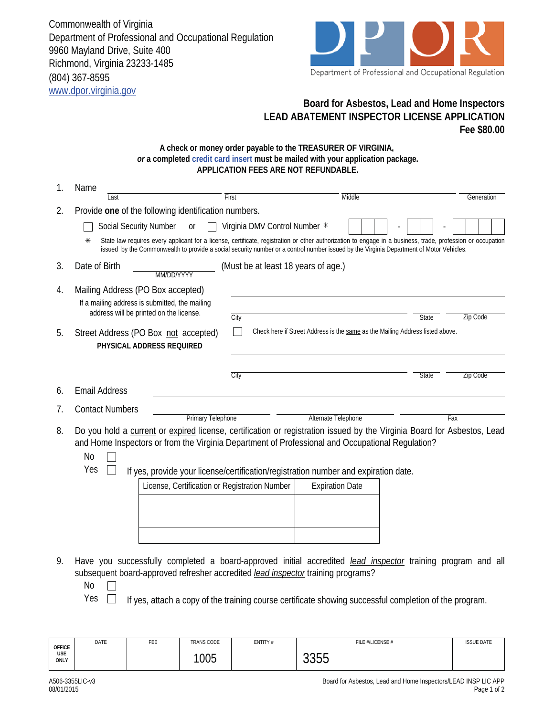Commonwealth of Virginia Department of Professional and Occupational Regulation 9960 Mayland Drive, Suite 400 Richmond, Virginia 23233-1485 (804) 367-8595 www.dpor.virginia.gov



## **Board for Asbestos, Lead and Home Inspectors LEAD ABATEMENT INSPECTOR LICENSE APPLICATION Fee \$80.00**

## **A check or money order payable to the TREASURER OF VIRGINIA,**  *or* **a completed credit card insert must be mailed with your application package. APPLICATION FEES ARE NOT REFUNDABLE.**

| 1. | Name                                                                                                                                                                                                                                                                                                                                        |                                                                         |                                                                               |              |            |  |  |
|----|---------------------------------------------------------------------------------------------------------------------------------------------------------------------------------------------------------------------------------------------------------------------------------------------------------------------------------------------|-------------------------------------------------------------------------|-------------------------------------------------------------------------------|--------------|------------|--|--|
|    | First<br>Last                                                                                                                                                                                                                                                                                                                               |                                                                         | Middle                                                                        |              | Generation |  |  |
| 2. | Provide one of the following identification numbers.                                                                                                                                                                                                                                                                                        |                                                                         |                                                                               |              |            |  |  |
|    | <b>Social Security Number</b><br>0r                                                                                                                                                                                                                                                                                                         | Virginia DMV Control Number *                                           |                                                                               |              |            |  |  |
|    | State law requires every applicant for a license, certificate, registration or other authorization to engage in a business, trade, profession or occupation<br>⋇<br>issued by the Commonwealth to provide a social security number or a control number issued by the Virginia Department of Motor Vehicles.                                 |                                                                         |                                                                               |              |            |  |  |
| 3. | Date of Birth<br>MM/DD/YYYY                                                                                                                                                                                                                                                                                                                 | (Must be at least 18 years of age.)                                     |                                                                               |              |            |  |  |
| 4. | Mailing Address (PO Box accepted)                                                                                                                                                                                                                                                                                                           |                                                                         |                                                                               |              |            |  |  |
|    | If a mailing address is submitted, the mailing<br>address will be printed on the license.                                                                                                                                                                                                                                                   |                                                                         |                                                                               |              |            |  |  |
|    |                                                                                                                                                                                                                                                                                                                                             | City                                                                    |                                                                               | <b>State</b> | Zip Code   |  |  |
| 5. | Street Address (PO Box not accepted)<br>PHYSICAL ADDRESS REQUIRED                                                                                                                                                                                                                                                                           |                                                                         | Check here if Street Address is the same as the Mailing Address listed above. |              |            |  |  |
|    |                                                                                                                                                                                                                                                                                                                                             | City                                                                    |                                                                               | State        | Zip Code   |  |  |
| 6. | <b>Email Address</b>                                                                                                                                                                                                                                                                                                                        |                                                                         |                                                                               |              |            |  |  |
| 7. | <b>Contact Numbers</b>                                                                                                                                                                                                                                                                                                                      |                                                                         |                                                                               |              |            |  |  |
|    | <b>Primary Telephone</b>                                                                                                                                                                                                                                                                                                                    |                                                                         | Alternate Telephone                                                           |              | Fax        |  |  |
| 8. | Do you hold a current or expired license, certification or registration issued by the Virginia Board for Asbestos, Lead<br>and Home Inspectors or from the Virginia Department of Professional and Occupational Regulation?<br>N <sub>o</sub><br>Yes<br>If yes, provide your license/certification/registration number and expiration date. |                                                                         |                                                                               |              |            |  |  |
|    |                                                                                                                                                                                                                                                                                                                                             | License, Certification or Registration Number<br><b>Expiration Date</b> |                                                                               |              |            |  |  |
|    |                                                                                                                                                                                                                                                                                                                                             |                                                                         |                                                                               |              |            |  |  |
|    |                                                                                                                                                                                                                                                                                                                                             |                                                                         |                                                                               |              |            |  |  |
|    |                                                                                                                                                                                                                                                                                                                                             |                                                                         |                                                                               |              |            |  |  |
|    |                                                                                                                                                                                                                                                                                                                                             |                                                                         |                                                                               |              |            |  |  |
| 9. | Have you successfully completed a board-approved initial accredited <i>lead inspector</i> training program and all<br>subsequent board-approved refresher accredited lead inspector training programs?<br>N <sub>o</sub><br>Yes<br>If yes, attach a copy of the training course certificate showing successful completion of the program.   |                                                                         |                                                                               |              |            |  |  |

| <b>OFFICE</b><br>USE<br>ONLY | DATE | FEE | <b>TRANS CODE</b> | ENTITY# | FILE #/LICENSE #     | <b>ISSUE DATE</b> |
|------------------------------|------|-----|-------------------|---------|----------------------|-------------------|
|                              |      |     | 1005              |         | $\cap$<br>nr<br>ບບບບ |                   |